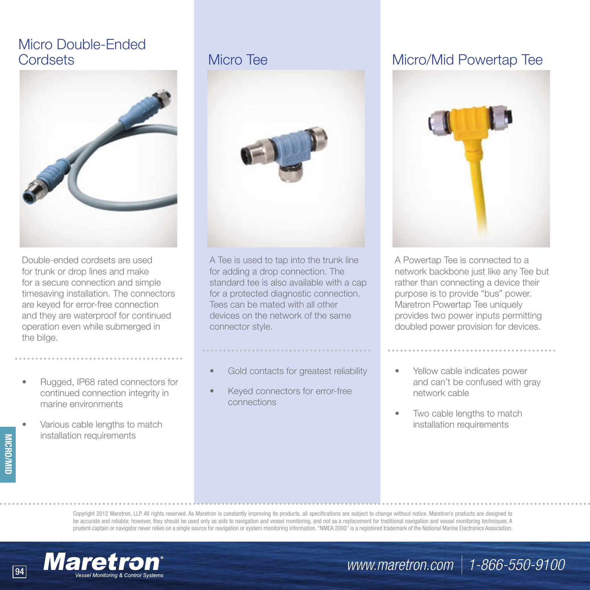# Micro Double-Ended



Double-ended cordsets are used for trunk or drop lines and make for a secure connection and simple timesaving installation. The connectors are keyed for error-free connection and they are waterproof for continued operation even while submerged in the bilge.

- Rugged, IP68 rated connectors for continued connection integrity in marine environments
- Various cable lengths to match installation requirements

**MICRO/MID**



A Tee is used to tap into the trunk line for adding a drop connection. The standard tee is also available with a cap for a protected diagnostic connection. Tees can be mated with all other devices on the network of the same connector style.

### Gold contacts for greatest reliability

Keyed connectors for error-free connections

### Cordsets Micro Tee Micro/Mid Powertap Tee



A Powertap Tee is connected to a network backbone just like any Tee but rather than connecting a device their purpose is to provide "bus" power. Maretron Powertap Tee uniquely provides two power inputs permitting doubled power provision for devices.

- Yellow cable indicates power and can't be confused with gray network cable
- Two cable lengths to match installation requirements

Copyright 2012 Maretron, LLP. All rights reserved. As Maretron is constantly improving its products, all specifications are subject to change without notice. Maretron's products are designed to be accurate and reliable; however, they should be used only as aids to navigation and vessel monitoring, and not as a replacement for traditional navigation and vessel monitoring techniques. A prudent captain or navigator never relies on a single source for navigation or system monitoring information. "NMEA 2000" is a registered trademark of the National Marine Electronics Association.